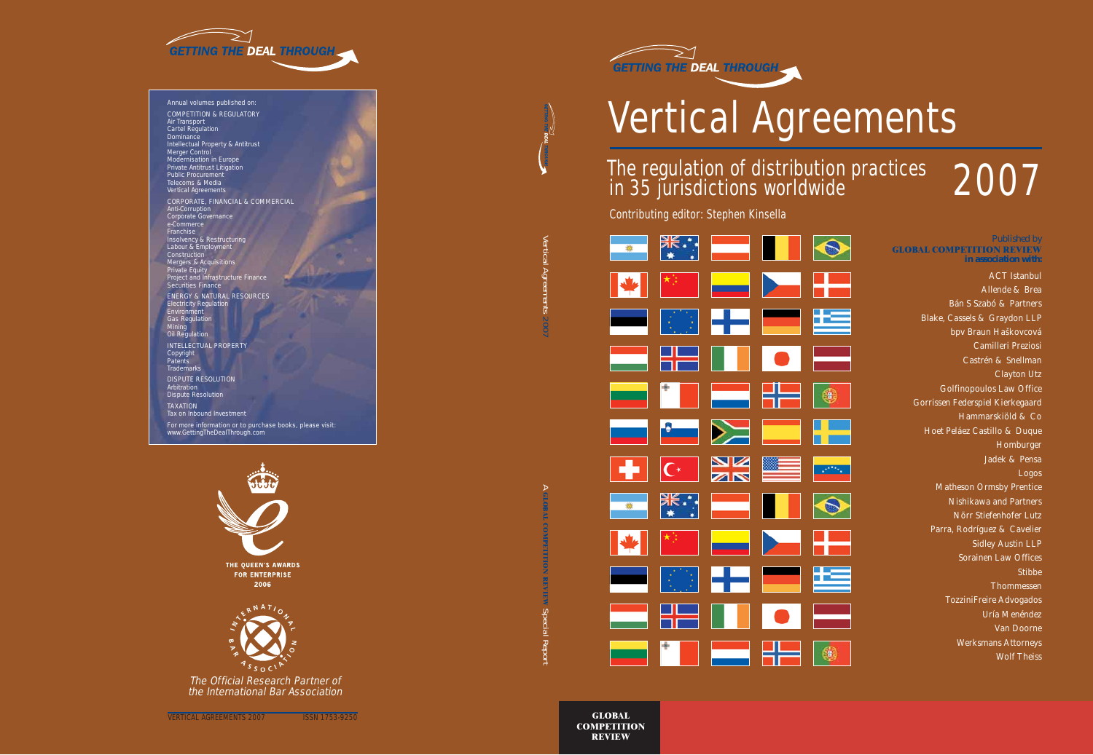

# Vertical Agreements

# The regulation of distribution practices 2007

Contributing editor: Stephen Kinsella

|                                                                                                                       |              | <u> Azar Azar Azar Azar esperanto de la propinsipada de la propinsipada de la propinsipada de la propinsipada de </u>                                                                                                                                                                                                                               |             |               |
|-----------------------------------------------------------------------------------------------------------------------|--------------|-----------------------------------------------------------------------------------------------------------------------------------------------------------------------------------------------------------------------------------------------------------------------------------------------------------------------------------------------------|-------------|---------------|
|                                                                                                                       |              | $\begin{picture}(20,20) \put(0,0){\line(1,0){10}} \put(15,0){\line(1,0){10}} \put(15,0){\line(1,0){10}} \put(15,0){\line(1,0){10}} \put(15,0){\line(1,0){10}} \put(15,0){\line(1,0){10}} \put(15,0){\line(1,0){10}} \put(15,0){\line(1,0){10}} \put(15,0){\line(1,0){10}} \put(15,0){\line(1,0){10}} \put(15,0){\line(1,0){10}} \put(15,0){\line(1$ |             | H             |
| ш.                                                                                                                    |              | ▓▌▞▖▆▏▓                                                                                                                                                                                                                                                                                                                                             |             |               |
| <b>nastana</b><br>1990 - Jacques III                                                                                  |              | <b>THE THE OFFICE</b>                                                                                                                                                                                                                                                                                                                               |             |               |
|                                                                                                                       |              |                                                                                                                                                                                                                                                                                                                                                     |             |               |
|                                                                                                                       |              |                                                                                                                                                                                                                                                                                                                                                     |             |               |
|                                                                                                                       |              |                                                                                                                                                                                                                                                                                                                                                     |             |               |
|                                                                                                                       |              | $\overline{C}$ $\frac{N}{N}$                                                                                                                                                                                                                                                                                                                        | <u>se i</u> | <b>Barnet</b> |
|                                                                                                                       |              | <b>米: 一一        </b>                                                                                                                                                                                                                                                                                                                                |             |               |
|                                                                                                                       | $\mathbf{A}$ |                                                                                                                                                                                                                                                                                                                                                     |             | H             |
| <u>android</u>                                                                                                        |              | Ros Hermann                                                                                                                                                                                                                                                                                                                                         |             |               |
| <b>The Contract of the Contract of The Contract of The Contract of The Contract of The Contract of The Contract o</b> |              | 22 M M O 122                                                                                                                                                                                                                                                                                                                                        |             |               |

*Published by*  **GLOBAL COMPETITION REVIEW**  *in association with:*

> ACT Istanbul Allende & Brea Bán S Szabó & Partners Blake, Cassels & Graydon LLP bpv Braun Haškovcová Camilleri Preziosi Castrén & Snellman Clayton Utz Golfinopoulos Law Office Gorrissen Federspiel Kierkegaard Hammarskiöld & Co Hoet Peláez Castillo & Duque Homburger Jadek & Pensa Logos Matheson Ormsby Prentice Nishikawa and Partners Nörr Stiefenhofer Lutz Parra, Rodríguez & Cavelier Sidley Austin LLP Sorainen Law Offices **Stibbe** Thommessen TozziniFreire Advogados Uría Menéndez Van Doorne Werksmans Attorneys Wolf Theiss

**GLOBAL COMPETITION REVIEW**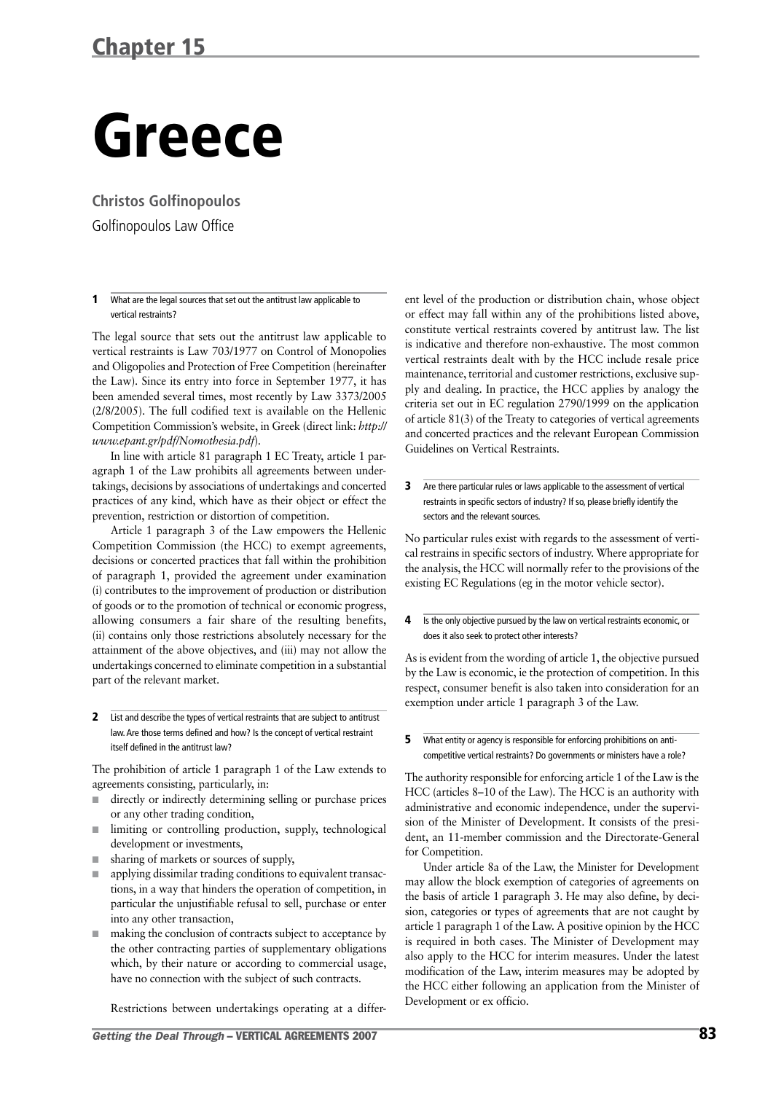## Greece

**Christos Golfinopoulos**

Golfinopoulos Law Office

#### 1 What are the legal sources that set out the antitrust law applicable to vertical restraints?

The legal source that sets out the antitrust law applicable to vertical restraints is Law 703/1977 on Control of Monopolies and Oligopolies and Protection of Free Competition (hereinafter the Law). Since its entry into force in September 1977, it has been amended several times, most recently by Law 3373/2005 (2/8/2005). The full codified text is available on the Hellenic Competition Commission's website, in Greek (direct link: *http:// www.epant.gr/pdf/Nomothesia.pdf*).

In line with article 81 paragraph 1 EC Treaty, article 1 paragraph 1 of the Law prohibits all agreements between undertakings, decisions by associations of undertakings and concerted practices of any kind, which have as their object or effect the prevention, restriction or distortion of competition.

Article 1 paragraph 3 of the Law empowers the Hellenic Competition Commission (the HCC) to exempt agreements, decisions or concerted practices that fall within the prohibition of paragraph 1, provided the agreement under examination (i) contributes to the improvement of production or distribution of goods or to the promotion of technical or economic progress, allowing consumers a fair share of the resulting benefits, (ii) contains only those restrictions absolutely necessary for the attainment of the above objectives, and (iii) may not allow the undertakings concerned to eliminate competition in a substantial part of the relevant market.

2 List and describe the types of vertical restraints that are subject to antitrust law.Are those terms defined and how? Is the concept of vertical restraint itself defined in the antitrust law?

The prohibition of article 1 paragraph 1 of the Law extends to agreements consisting, particularly, in:

- directly or indirectly determining selling or purchase prices or any other trading condition,
- limiting or controlling production, supply, technological development or investments,
- sharing of markets or sources of supply,
- applying dissimilar trading conditions to equivalent transactions, in a way that hinders the operation of competition, in particular the unjustifiable refusal to sell, purchase or enter into any other transaction,
- making the conclusion of contracts subject to acceptance by the other contracting parties of supplementary obligations which, by their nature or according to commercial usage, have no connection with the subject of such contracts.

Restrictions between undertakings operating at a differ-

*Getting the Deal Through* – VERTICAL AGREEMENTS 2007 83

ent level of the production or distribution chain, whose object or effect may fall within any of the prohibitions listed above, constitute vertical restraints covered by antitrust law. The list is indicative and therefore non-exhaustive. The most common vertical restraints dealt with by the HCC include resale price maintenance, territorial and customer restrictions, exclusive supply and dealing. In practice, the HCC applies by analogy the criteria set out in EC regulation 2790/1999 on the application of article 81(3) of the Treaty to categories of vertical agreements and concerted practices and the relevant European Commission Guidelines on Vertical Restraints.

**3** Are there particular rules or laws applicable to the assessment of vertical restraints in specific sectors of industry? If so, please briefly identify the sectors and the relevant sources.

No particular rules exist with regards to the assessment of vertical restrains in specific sectors of industry. Where appropriate for the analysis, the HCC will normally refer to the provisions of the existing EC Regulations (eg in the motor vehicle sector).

4 Is the only objective pursued by the law on vertical restraints economic, or does it also seek to protect other interests?

As is evident from the wording of article 1, the objective pursued by the Law is economic, ie the protection of competition. In this respect, consumer benefit is also taken into consideration for an exemption under article 1 paragraph 3 of the Law.

**5** What entity or agency is responsible for enforcing prohibitions on anticompetitive vertical restraints? Do governments or ministers have a role?

The authority responsible for enforcing article 1 of the Law is the HCC (articles 8–10 of the Law). The HCC is an authority with administrative and economic independence, under the supervision of the Minister of Development. It consists of the president, an 11-member commission and the Directorate-General for Competition.

Under article 8a of the Law, the Minister for Development may allow the block exemption of categories of agreements on the basis of article 1 paragraph 3. He may also define, by decision, categories or types of agreements that are not caught by article 1 paragraph 1 of the Law. A positive opinion by the HCC is required in both cases. The Minister of Development may also apply to the HCC for interim measures. Under the latest modification of the Law, interim measures may be adopted by the HCC either following an application from the Minister of Development or ex officio.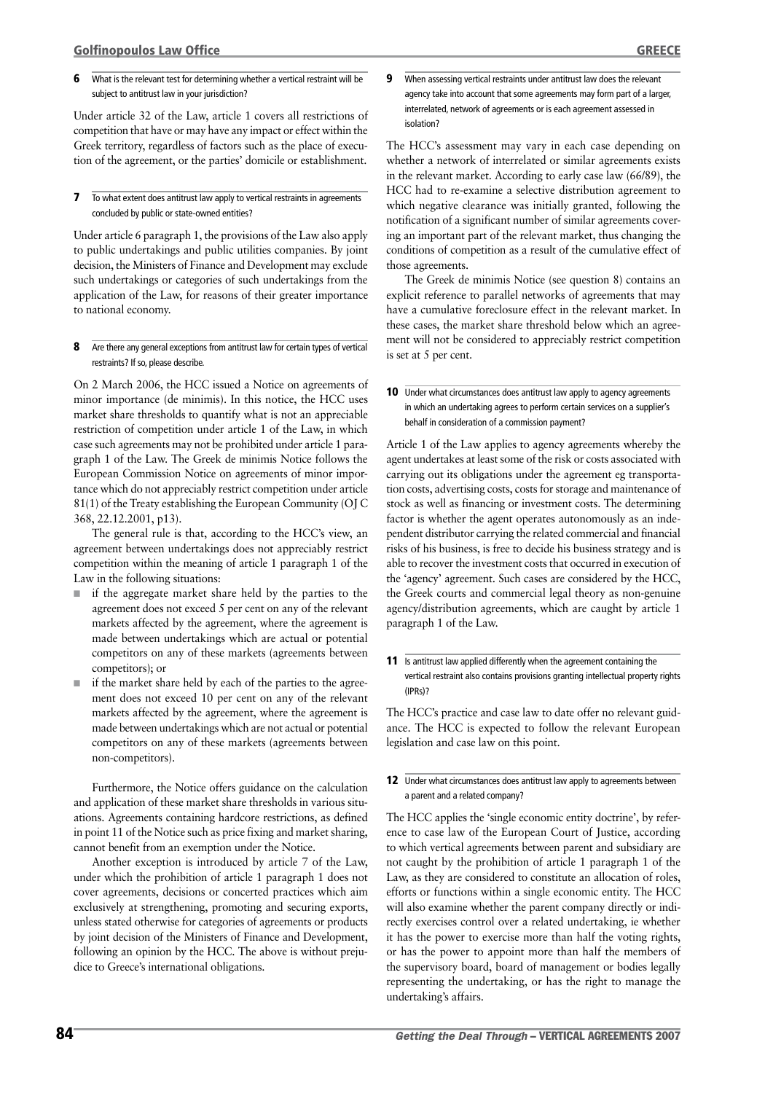**6** What is the relevant test for determining whether a vertical restraint will be subject to antitrust law in your jurisdiction?

Under article 32 of the Law, article 1 covers all restrictions of competition that have or may have any impact or effect within the Greek territory, regardless of factors such as the place of execution of the agreement, or the parties' domicile or establishment.

**7** To what extent does antitrust law apply to vertical restraints in agreements concluded by public or state-owned entities?

Under article 6 paragraph 1, the provisions of the Law also apply to public undertakings and public utilities companies. By joint decision, the Ministers of Finance and Development may exclude such undertakings or categories of such undertakings from the application of the Law, for reasons of their greater importance to national economy.

8 Are there any general exceptions from antitrust law for certain types of vertical restraints? If so, please describe.

On 2 March 2006, the HCC issued a Notice on agreements of minor importance (de minimis). In this notice, the HCC uses market share thresholds to quantify what is not an appreciable restriction of competition under article 1 of the Law, in which case such agreements may not be prohibited under article 1 paragraph 1 of the Law. The Greek de minimis Notice follows the European Commission Notice on agreements of minor importance which do not appreciably restrict competition under article 81(1) of the Treaty establishing the European Community (OJ C 368, 22.12.2001, p13).

The general rule is that, according to the HCC's view, an agreement between undertakings does not appreciably restrict competition within the meaning of article 1 paragraph 1 of the Law in the following situations:

- if the aggregate market share held by the parties to the agreement does not exceed 5 per cent on any of the relevant markets affected by the agreement, where the agreement is made between undertakings which are actual or potential competitors on any of these markets (agreements between competitors); or
- if the market share held by each of the parties to the agreement does not exceed 10 per cent on any of the relevant markets affected by the agreement, where the agreement is made between undertakings which are not actual or potential competitors on any of these markets (agreements between non-competitors).

Furthermore, the Notice offers guidance on the calculation and application of these market share thresholds in various situations. Agreements containing hardcore restrictions, as defined in point 11 of the Notice such as price fixing and market sharing, cannot benefit from an exemption under the Notice.

Another exception is introduced by article 7 of the Law, under which the prohibition of article 1 paragraph 1 does not cover agreements, decisions or concerted practices which aim exclusively at strengthening, promoting and securing exports, unless stated otherwise for categories of agreements or products by joint decision of the Ministers of Finance and Development, following an opinion by the HCC. The above is without prejudice to Greece's international obligations.

**9** When assessing vertical restraints under antitrust law does the relevant agency take into account that some agreements may form part of a larger, interrelated, network of agreements or is each agreement assessed in isolation?

The HCC's assessment may vary in each case depending on whether a network of interrelated or similar agreements exists in the relevant market. According to early case law (66/89), the HCC had to re-examine a selective distribution agreement to which negative clearance was initially granted, following the notification of a significant number of similar agreements covering an important part of the relevant market, thus changing the conditions of competition as a result of the cumulative effect of those agreements.

The Greek de minimis Notice (see question 8) contains an explicit reference to parallel networks of agreements that may have a cumulative foreclosure effect in the relevant market. In these cases, the market share threshold below which an agreement will not be considered to appreciably restrict competition is set at 5 per cent.

Article 1 of the Law applies to agency agreements whereby the agent undertakes at least some of the risk or costs associated with carrying out its obligations under the agreement eg transportation costs, advertising costs, costs for storage and maintenance of stock as well as financing or investment costs. The determining factor is whether the agent operates autonomously as an independent distributor carrying the related commercial and financial risks of his business, is free to decide his business strategy and is able to recover the investment costs that occurred in execution of the 'agency' agreement. Such cases are considered by the HCC, the Greek courts and commercial legal theory as non-genuine agency/distribution agreements, which are caught by article 1 paragraph 1 of the Law.

11 Is antitrust law applied differently when the agreement containing the vertical restraint also contains provisions granting intellectual property rights (IPRs)?

The HCC's practice and case law to date offer no relevant guidance. The HCC is expected to follow the relevant European legislation and case law on this point.

12 Under what circumstances does antitrust law apply to agreements between a parent and a related company?

The HCC applies the 'single economic entity doctrine', by reference to case law of the European Court of Justice, according to which vertical agreements between parent and subsidiary are not caught by the prohibition of article 1 paragraph 1 of the Law, as they are considered to constitute an allocation of roles, efforts or functions within a single economic entity. The HCC will also examine whether the parent company directly or indirectly exercises control over a related undertaking, ie whether it has the power to exercise more than half the voting rights, or has the power to appoint more than half the members of the supervisory board, board of management or bodies legally representing the undertaking, or has the right to manage the undertaking's affairs.

<sup>10</sup> Under what circumstances does antitrust law apply to agency agreements in which an undertaking agrees to perform certain services on a supplier's behalf in consideration of a commission payment?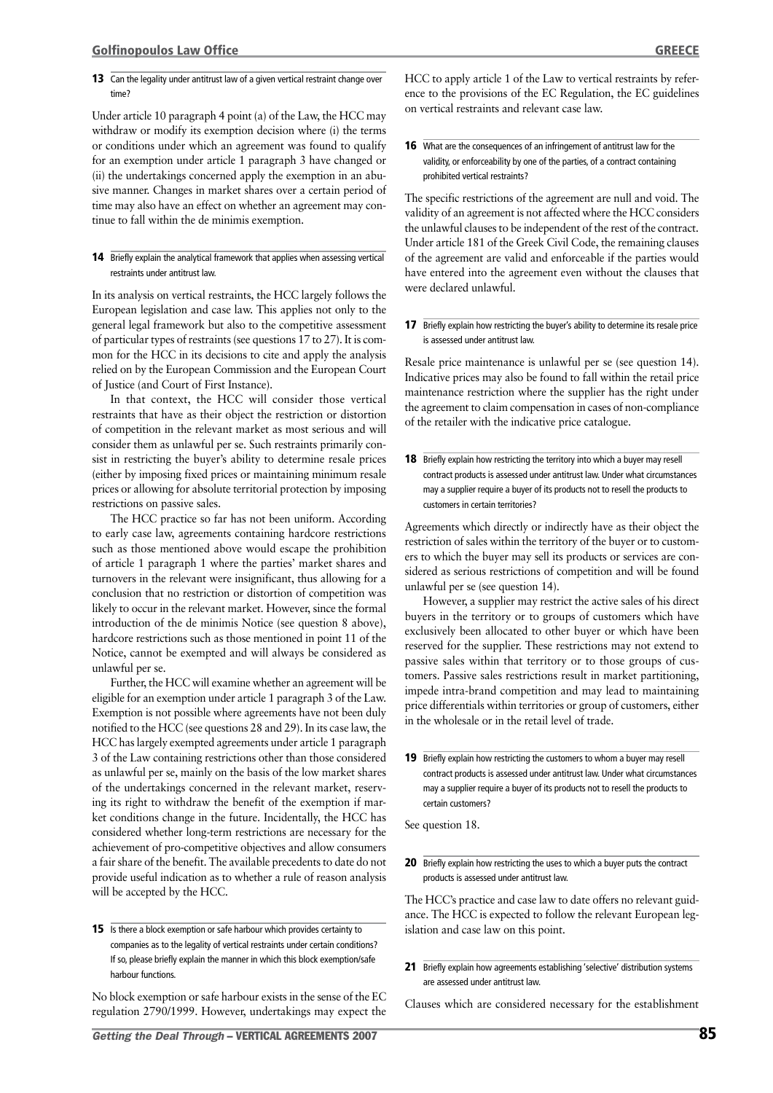#### 13 Can the legality under antitrust law of a given vertical restraint change over time?

Under article 10 paragraph 4 point (a) of the Law, the HCC may withdraw or modify its exemption decision where (i) the terms or conditions under which an agreement was found to qualify for an exemption under article 1 paragraph 3 have changed or (ii) the undertakings concerned apply the exemption in an abusive manner. Changes in market shares over a certain period of time may also have an effect on whether an agreement may continue to fall within the de minimis exemption.

#### 14 Briefly explain the analytical framework that applies when assessing vertical restraints under antitrust law.

In its analysis on vertical restraints, the HCC largely follows the European legislation and case law. This applies not only to the general legal framework but also to the competitive assessment of particular types of restraints (see questions 17 to 27). It is common for the HCC in its decisions to cite and apply the analysis relied on by the European Commission and the European Court of Justice (and Court of First Instance).

In that context, the HCC will consider those vertical restraints that have as their object the restriction or distortion of competition in the relevant market as most serious and will consider them as unlawful per se. Such restraints primarily consist in restricting the buyer's ability to determine resale prices (either by imposing fixed prices or maintaining minimum resale prices or allowing for absolute territorial protection by imposing restrictions on passive sales.

The HCC practice so far has not been uniform. According to early case law, agreements containing hardcore restrictions such as those mentioned above would escape the prohibition of article 1 paragraph 1 where the parties' market shares and turnovers in the relevant were insignificant, thus allowing for a conclusion that no restriction or distortion of competition was likely to occur in the relevant market. However, since the formal introduction of the de minimis Notice (see question 8 above), hardcore restrictions such as those mentioned in point 11 of the Notice, cannot be exempted and will always be considered as unlawful per se.

Further, the HCC will examine whether an agreement will be eligible for an exemption under article 1 paragraph 3 of the Law. Exemption is not possible where agreements have not been duly notified to the HCC (see questions 28 and 29). In its case law, the HCC has largely exempted agreements under article 1 paragraph 3 of the Law containing restrictions other than those considered as unlawful per se, mainly on the basis of the low market shares of the undertakings concerned in the relevant market, reserving its right to withdraw the benefit of the exemption if market conditions change in the future. Incidentally, the HCC has considered whether long-term restrictions are necessary for the achievement of pro-competitive objectives and allow consumers a fair share of the benefit. The available precedents to date do not provide useful indication as to whether a rule of reason analysis will be accepted by the HCC.

**15** Is there a block exemption or safe harbour which provides certainty to companies as to the legality of vertical restraints under certain conditions? If so, please briefly explain the manner in which this block exemption/safe harbour functions.

No block exemption or safe harbour exists in the sense of the EC regulation 2790/1999. However, undertakings may expect the HCC to apply article 1 of the Law to vertical restraints by reference to the provisions of the EC Regulation, the EC guidelines on vertical restraints and relevant case law.

16 What are the consequences of an infringement of antitrust law for the validity, or enforceability by one of the parties, of a contract containing prohibited vertical restraints?

The specific restrictions of the agreement are null and void. The validity of an agreement is not affected where the HCC considers the unlawful clauses to be independent of the rest of the contract. Under article 181 of the Greek Civil Code, the remaining clauses of the agreement are valid and enforceable if the parties would have entered into the agreement even without the clauses that were declared unlawful.

17 Briefly explain how restricting the buyer's ability to determine its resale price is assessed under antitrust law.

Resale price maintenance is unlawful per se (see question 14). Indicative prices may also be found to fall within the retail price maintenance restriction where the supplier has the right under the agreement to claim compensation in cases of non-compliance of the retailer with the indicative price catalogue.

**18** Briefly explain how restricting the territory into which a buyer may resell contract products is assessed under antitrust law. Under what circumstances may a supplier require a buyer of its products not to resell the products to customers in certain territories?

Agreements which directly or indirectly have as their object the restriction of sales within the territory of the buyer or to customers to which the buyer may sell its products or services are considered as serious restrictions of competition and will be found unlawful per se (see question 14).

However, a supplier may restrict the active sales of his direct buyers in the territory or to groups of customers which have exclusively been allocated to other buyer or which have been reserved for the supplier. These restrictions may not extend to passive sales within that territory or to those groups of customers. Passive sales restrictions result in market partitioning, impede intra-brand competition and may lead to maintaining price differentials within territories or group of customers, either in the wholesale or in the retail level of trade.

19 Briefly explain how restricting the customers to whom a buyer may resell contract products is assessed under antitrust law. Under what circumstances may a supplier require a buyer of its products not to resell the products to certain customers?

See question 18.

20 Briefly explain how restricting the uses to which a buyer puts the contract products is assessed under antitrust law.

The HCC's practice and case law to date offers no relevant guidance. The HCC is expected to follow the relevant European legislation and case law on this point.

21 Briefly explain how agreements establishing 'selective' distribution systems are assessed under antitrust law.

Clauses which are considered necessary for the establishment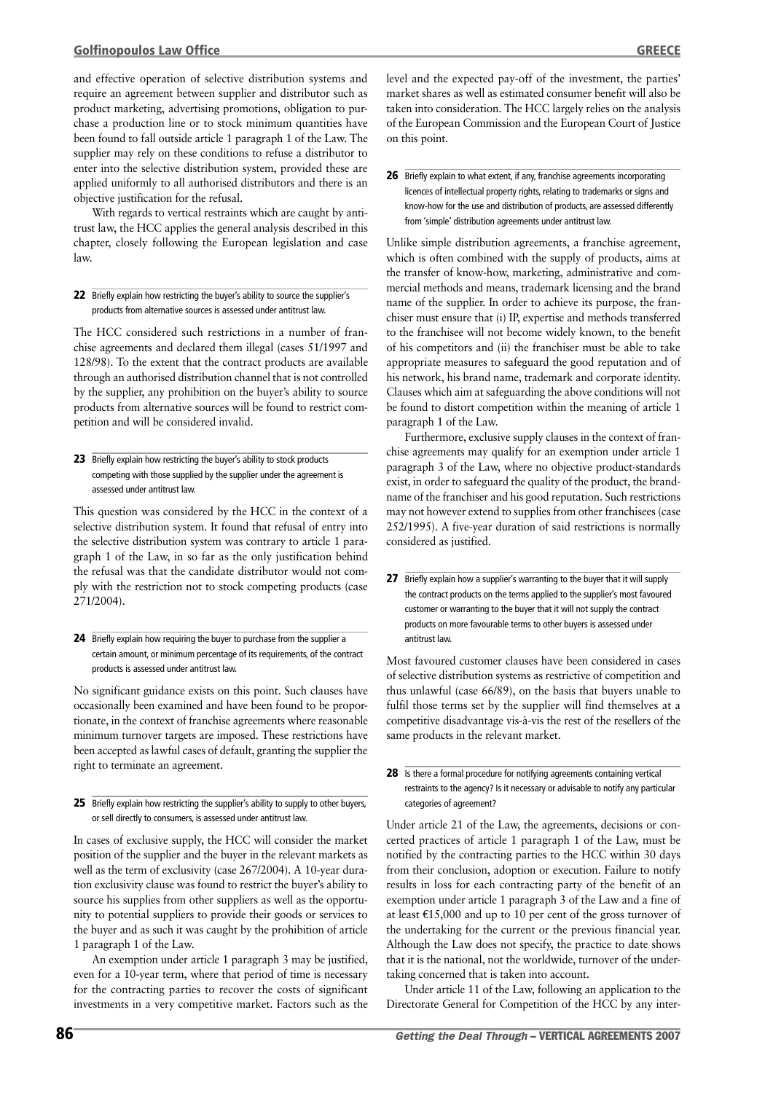and effective operation of selective distribution systems and require an agreement between supplier and distributor such as product marketing, advertising promotions, obligation to purchase a production line or to stock minimum quantities have been found to fall outside article 1 paragraph 1 of the Law. The supplier may rely on these conditions to refuse a distributor to enter into the selective distribution system, provided these are applied uniformly to all authorised distributors and there is an objective justification for the refusal.

With regards to vertical restraints which are caught by antitrust law, the HCC applies the general analysis described in this chapter, closely following the European legislation and case law.

#### 22 Briefly explain how restricting the buyer's ability to source the supplier's products from alternative sources is assessed under antitrust law.

The HCC considered such restrictions in a number of franchise agreements and declared them illegal (cases 51/1997 and 128/98). To the extent that the contract products are available through an authorised distribution channel that is not controlled by the supplier, any prohibition on the buyer's ability to source products from alternative sources will be found to restrict competition and will be considered invalid.

### 23 Briefly explain how restricting the buyer's ability to stock products competing with those supplied by the supplier under the agreement is assessed under antitrust law.

This question was considered by the HCC in the context of a selective distribution system. It found that refusal of entry into the selective distribution system was contrary to article 1 paragraph 1 of the Law, in so far as the only justification behind the refusal was that the candidate distributor would not comply with the restriction not to stock competing products (case 271/2004).

### 24 Briefly explain how requiring the buyer to purchase from the supplier a certain amount, or minimum percentage of its requirements, of the contract products is assessed under antitrust law.

No significant guidance exists on this point. Such clauses have occasionally been examined and have been found to be proportionate, in the context of franchise agreements where reasonable minimum turnover targets are imposed. These restrictions have been accepted as lawful cases of default, granting the supplier the right to terminate an agreement.

#### 25 Briefly explain how restricting the supplier's ability to supply to other buyers, or sell directly to consumers, is assessed under antitrust law.

In cases of exclusive supply, the HCC will consider the market position of the supplier and the buyer in the relevant markets as well as the term of exclusivity (case 267/2004). A 10-year duration exclusivity clause was found to restrict the buyer's ability to source his supplies from other suppliers as well as the opportunity to potential suppliers to provide their goods or services to the buyer and as such it was caught by the prohibition of article 1 paragraph 1 of the Law.

An exemption under article 1 paragraph 3 may be justified, even for a 10-year term, where that period of time is necessary for the contracting parties to recover the costs of significant investments in a very competitive market. Factors such as the

level and the expected pay-off of the investment, the parties' market shares as well as estimated consumer benefit will also be taken into consideration. The HCC largely relies on the analysis of the European Commission and the European Court of Justice on this point.

### 26 Briefly explain to what extent, if any, franchise agreements incorporating licences of intellectual property rights, relating to trademarks or signs and know-how for the use and distribution of products, are assessed differently from 'simple' distribution agreements under antitrust law.

Unlike simple distribution agreements, a franchise agreement, which is often combined with the supply of products, aims at the transfer of know-how, marketing, administrative and commercial methods and means, trademark licensing and the brand name of the supplier. In order to achieve its purpose, the franchiser must ensure that (i) IP, expertise and methods transferred to the franchisee will not become widely known, to the benefit of his competitors and (ii) the franchiser must be able to take appropriate measures to safeguard the good reputation and of his network, his brand name, trademark and corporate identity. Clauses which aim at safeguarding the above conditions will not be found to distort competition within the meaning of article 1 paragraph 1 of the Law.

Furthermore, exclusive supply clauses in the context of franchise agreements may qualify for an exemption under article 1 paragraph 3 of the Law, where no objective product-standards exist, in order to safeguard the quality of the product, the brandname of the franchiser and his good reputation. Such restrictions may not however extend to supplies from other franchisees (case 252/1995). A five-year duration of said restrictions is normally considered as justified.

27 Briefly explain how a supplier's warranting to the buyer that it will supply the contract products on the terms applied to the supplier's most favoured customer or warranting to the buyer that it will not supply the contract products on more favourable terms to other buyers is assessed under antitrust law.

Most favoured customer clauses have been considered in cases of selective distribution systems as restrictive of competition and thus unlawful (case 66/89), on the basis that buyers unable to fulfil those terms set by the supplier will find themselves at a competitive disadvantage vis-à-vis the rest of the resellers of the same products in the relevant market.

### 28 Is there a formal procedure for notifying agreements containing vertical restraints to the agency? Is it necessary or advisable to notify any particular categories of agreement?

Under article 21 of the Law, the agreements, decisions or concerted practices of article 1 paragraph 1 of the Law, must be notified by the contracting parties to the HCC within 30 days from their conclusion, adoption or execution. Failure to notify results in loss for each contracting party of the benefit of an exemption under article 1 paragraph 3 of the Law and a fine of at least  $\text{\textsterling}15,000$  and up to 10 per cent of the gross turnover of the undertaking for the current or the previous financial year. Although the Law does not specify, the practice to date shows that it is the national, not the worldwide, turnover of the undertaking concerned that is taken into account.

Under article 11 of the Law, following an application to the Directorate General for Competition of the HCC by any inter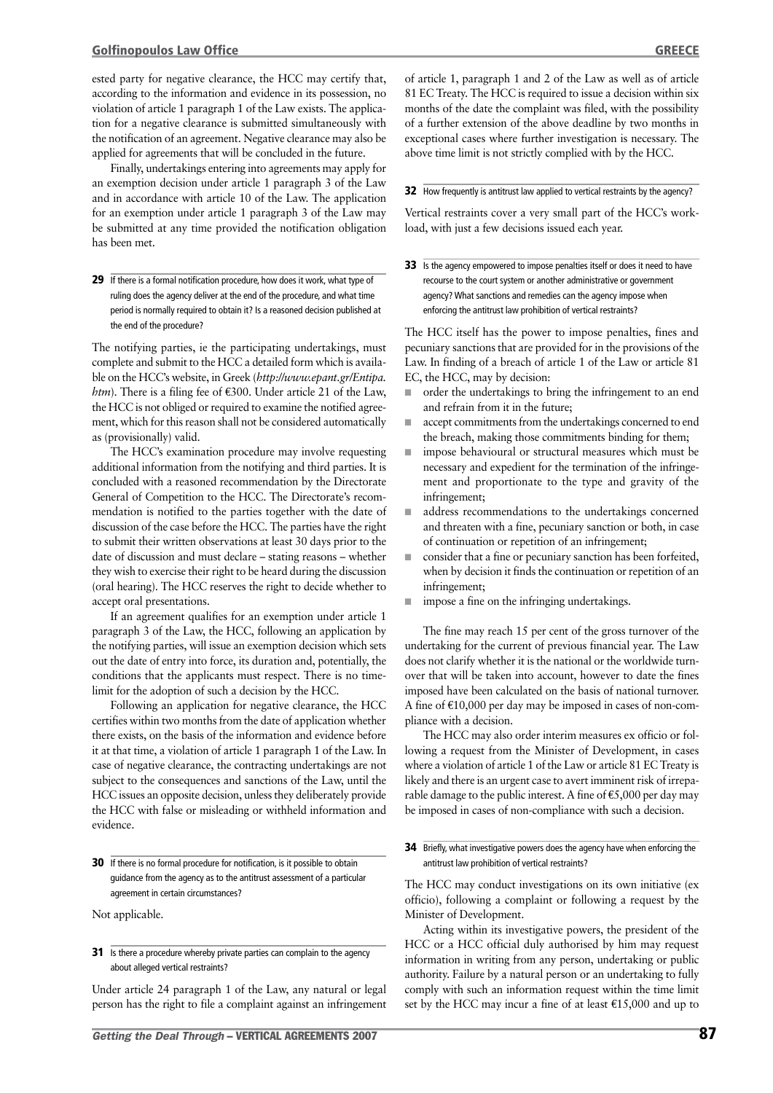ested party for negative clearance, the HCC may certify that, according to the information and evidence in its possession, no violation of article 1 paragraph 1 of the Law exists. The application for a negative clearance is submitted simultaneously with the notification of an agreement. Negative clearance may also be applied for agreements that will be concluded in the future.

Finally, undertakings entering into agreements may apply for an exemption decision under article 1 paragraph 3 of the Law and in accordance with article 10 of the Law. The application for an exemption under article 1 paragraph 3 of the Law may be submitted at any time provided the notification obligation has been met.

29 If there is a formal notification procedure, how does it work, what type of ruling does the agency deliver at the end of the procedure, and what time period is normally required to obtain it? Is a reasoned decision published at the end of the procedure?

The notifying parties, ie the participating undertakings, must complete and submit to the HCC a detailed form which is available on the HCC's website, in Greek (*http://www.epant.gr/Entipa. htm*). There is a filing fee of  $\epsilon$ 300. Under article 21 of the Law, the HCC is not obliged or required to examine the notified agreement, which for this reason shall not be considered automatically as (provisionally) valid.

The HCC's examination procedure may involve requesting additional information from the notifying and third parties. It is concluded with a reasoned recommendation by the Directorate General of Competition to the HCC. The Directorate's recommendation is notified to the parties together with the date of discussion of the case before the HCC. The parties have the right to submit their written observations at least 30 days prior to the date of discussion and must declare – stating reasons – whether they wish to exercise their right to be heard during the discussion (oral hearing). The HCC reserves the right to decide whether to accept oral presentations.

If an agreement qualifies for an exemption under article 1 paragraph 3 of the Law, the HCC, following an application by the notifying parties, will issue an exemption decision which sets out the date of entry into force, its duration and, potentially, the conditions that the applicants must respect. There is no timelimit for the adoption of such a decision by the HCC.

Following an application for negative clearance, the HCC certifies within two months from the date of application whether there exists, on the basis of the information and evidence before it at that time, a violation of article 1 paragraph 1 of the Law. In case of negative clearance, the contracting undertakings are not subject to the consequences and sanctions of the Law, until the HCC issues an opposite decision, unless they deliberately provide the HCC with false or misleading or withheld information and evidence.

**30** If there is no formal procedure for notification, is it possible to obtain guidance from the agency as to the antitrust assessment of a particular agreement in certain circumstances?

Not applicable.

#### 31 Is there a procedure whereby private parties can complain to the agency about alleged vertical restraints?

Under article 24 paragraph 1 of the Law, any natural or legal person has the right to file a complaint against an infringement of article 1, paragraph 1 and 2 of the Law as well as of article 81 EC Treaty. The HCC is required to issue a decision within six months of the date the complaint was filed, with the possibility of a further extension of the above deadline by two months in exceptional cases where further investigation is necessary. The above time limit is not strictly complied with by the HCC.

#### 32 How frequently is antitrust law applied to vertical restraints by the agency?

Vertical restraints cover a very small part of the HCC's workload, with just a few decisions issued each year.

33 Is the agency empowered to impose penalties itself or does it need to have recourse to the court system or another administrative or government agency? What sanctions and remedies can the agency impose when enforcing the antitrust law prohibition of vertical restraints?

The HCC itself has the power to impose penalties, fines and pecuniary sanctions that are provided for in the provisions of the Law. In finding of a breach of article 1 of the Law or article 81 EC, the HCC, may by decision:

- order the undertakings to bring the infringement to an end and refrain from it in the future;
- accept commitments from the undertakings concerned to end the breach, making those commitments binding for them;
- impose behavioural or structural measures which must be necessary and expedient for the termination of the infringement and proportionate to the type and gravity of the infringement;
- address recommendations to the undertakings concerned and threaten with a fine, pecuniary sanction or both, in case of continuation or repetition of an infringement;
- consider that a fine or pecuniary sanction has been forfeited, when by decision it finds the continuation or repetition of an infringement;
- impose a fine on the infringing undertakings.

The fine may reach 15 per cent of the gross turnover of the undertaking for the current of previous financial year. The Law does not clarify whether it is the national or the worldwide turnover that will be taken into account, however to date the fines imposed have been calculated on the basis of national turnover. A fine of  $E10,000$  per day may be imposed in cases of non-compliance with a decision.

The HCC may also order interim measures ex officio or following a request from the Minister of Development, in cases where a violation of article 1 of the Law or article 81 EC Treaty is likely and there is an urgent case to avert imminent risk of irreparable damage to the public interest. A fine of  $\epsilon$ 5,000 per day may be imposed in cases of non-compliance with such a decision.

#### **34** Briefly, what investigative powers does the agency have when enforcing the antitrust law prohibition of vertical restraints?

The HCC may conduct investigations on its own initiative (ex officio), following a complaint or following a request by the Minister of Development.

Acting within its investigative powers, the president of the HCC or a HCC official duly authorised by him may request information in writing from any person, undertaking or public authority. Failure by a natural person or an undertaking to fully comply with such an information request within the time limit set by the HCC may incur a fine of at least  $£15,000$  and up to